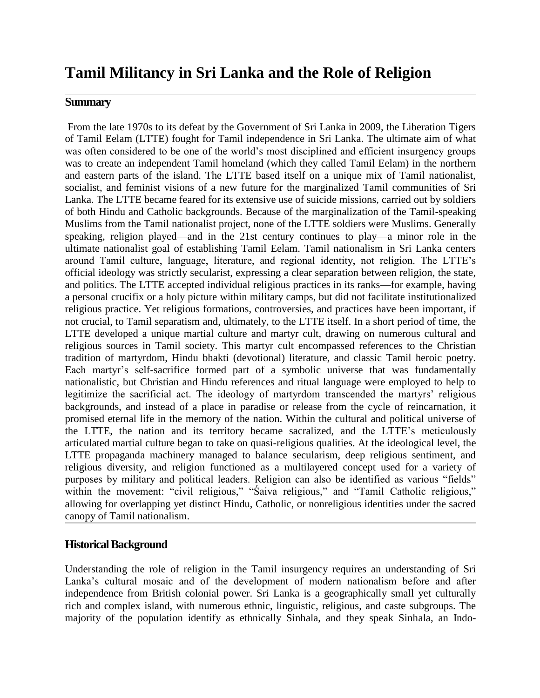# **Tamil Militancy in Sri Lanka and the Role of Religion**

#### **Summary**

From the late 1970s to its defeat by the Government of Sri Lanka in 2009, the Liberation Tigers of Tamil Eelam (LTTE) fought for Tamil independence in Sri Lanka. The ultimate aim of what was often considered to be one of the world's most disciplined and efficient insurgency groups was to create an independent Tamil homeland (which they called Tamil Eelam) in the northern and eastern parts of the island. The LTTE based itself on a unique mix of Tamil nationalist, socialist, and feminist visions of a new future for the marginalized Tamil communities of Sri Lanka. The LTTE became feared for its extensive use of suicide missions, carried out by soldiers of both Hindu and Catholic backgrounds. Because of the marginalization of the Tamil-speaking Muslims from the Tamil nationalist project, none of the LTTE soldiers were Muslims. Generally speaking, religion played—and in the 21st century continues to play—a minor role in the ultimate nationalist goal of establishing Tamil Eelam. Tamil nationalism in Sri Lanka centers around Tamil culture, language, literature, and regional identity, not religion. The LTTE's official ideology was strictly secularist, expressing a clear separation between religion, the state, and politics. The LTTE accepted individual religious practices in its ranks—for example, having a personal crucifix or a holy picture within military camps, but did not facilitate institutionalized religious practice. Yet religious formations, controversies, and practices have been important, if not crucial, to Tamil separatism and, ultimately, to the LTTE itself. In a short period of time, the LTTE developed a unique martial culture and martyr cult, drawing on numerous cultural and religious sources in Tamil society. This martyr cult encompassed references to the Christian tradition of martyrdom, Hindu bhakti (devotional) literature, and classic Tamil heroic poetry. Each martyr's self-sacrifice formed part of a symbolic universe that was fundamentally nationalistic, but Christian and Hindu references and ritual language were employed to help to legitimize the sacrificial act. The ideology of martyrdom transcended the martyrs' religious backgrounds, and instead of a place in paradise or release from the cycle of reincarnation, it promised eternal life in the memory of the nation. Within the cultural and political universe of the LTTE, the nation and its territory became sacralized, and the LTTE's meticulously articulated martial culture began to take on quasi-religious qualities. At the ideological level, the LTTE propaganda machinery managed to balance secularism, deep religious sentiment, and religious diversity, and religion functioned as a multilayered concept used for a variety of purposes by military and political leaders. Religion can also be identified as various "fields" within the movement: "civil religious," "Saiva religious," and "Tamil Catholic religious," allowing for overlapping yet distinct Hindu, Catholic, or nonreligious identities under the sacred canopy of Tamil nationalism.

## **Historical Background**

Understanding the role of religion in the Tamil insurgency requires an understanding of Sri Lanka's cultural mosaic and of the development of modern nationalism before and after independence from British colonial power. Sri Lanka is a geographically small yet culturally rich and complex island, with numerous ethnic, linguistic, religious, and caste subgroups. The majority of the population identify as ethnically Sinhala, and they speak Sinhala, an Indo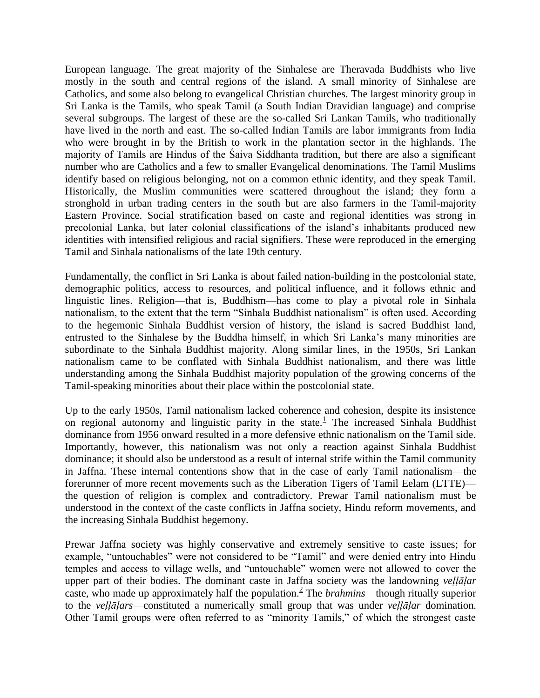European language. The great majority of the Sinhalese are Theravada Buddhists who live mostly in the south and central regions of the island. A small minority of Sinhalese are Catholics, and some also belong to evangelical Christian churches. The largest minority group in Sri Lanka is the Tamils, who speak Tamil (a South Indian Dravidian language) and comprise several subgroups. The largest of these are the so-called Sri Lankan Tamils, who traditionally have lived in the north and east. The so-called Indian Tamils are labor immigrants from India who were brought in by the British to work in the plantation sector in the highlands. The majority of Tamils are Hindus of the Śaiva Siddhanta tradition, but there are also a significant number who are Catholics and a few to smaller Evangelical denominations. The Tamil Muslims identify based on religious belonging, not on a common ethnic identity, and they speak Tamil. Historically, the Muslim communities were scattered throughout the island; they form a stronghold in urban trading centers in the south but are also farmers in the Tamil-majority Eastern Province. Social stratification based on caste and regional identities was strong in precolonial Lanka, but later colonial classifications of the island's inhabitants produced new identities with intensified religious and racial signifiers. These were reproduced in the emerging Tamil and Sinhala nationalisms of the late 19th century.

Fundamentally, the conflict in Sri Lanka is about failed nation-building in the postcolonial state, demographic politics, access to resources, and political influence, and it follows ethnic and linguistic lines. Religion—that is, Buddhism—has come to play a pivotal role in Sinhala nationalism, to the extent that the term "Sinhala Buddhist nationalism" is often used. According to the hegemonic Sinhala Buddhist version of history, the island is sacred Buddhist land, entrusted to the Sinhalese by the Buddha himself, in which Sri Lanka's many minorities are subordinate to the Sinhala Buddhist majority. Along similar lines, in the 1950s, Sri Lankan nationalism came to be conflated with Sinhala Buddhist nationalism, and there was little understanding among the Sinhala Buddhist majority population of the growing concerns of the Tamil-speaking minorities about their place within the postcolonial state.

Up to the early 1950s, Tamil nationalism lacked coherence and cohesion, despite its insistence on regional autonomy and linguistic parity in the state. $<sup>1</sup>$  The increased Sinhala Buddhist</sup> dominance from 1956 onward resulted in a more defensive ethnic nationalism on the Tamil side. Importantly, however, this nationalism was not only a reaction against Sinhala Buddhist dominance; it should also be understood as a result of internal strife within the Tamil community in Jaffna. These internal contentions show that in the case of early Tamil nationalism—the forerunner of more recent movements such as the Liberation Tigers of Tamil Eelam (LTTE) the question of religion is complex and contradictory. Prewar Tamil nationalism must be understood in the context of the caste conflicts in Jaffna society, Hindu reform movements, and the increasing Sinhala Buddhist hegemony.

Prewar Jaffna society was highly conservative and extremely sensitive to caste issues; for example, "untouchables" were not considered to be "Tamil" and were denied entry into Hindu temples and access to village wells, and "untouchable" women were not allowed to cover the upper part of their bodies. The dominant caste in Jaffna society was the landowning *veḷḷāḷar* caste, who made up approximately half the population.<sup>2</sup> The *brahmins*—though ritually superior to the *veḷḷāḷars*—constituted a numerically small group that was under *veḷḷāḷar* domination. Other Tamil groups were often referred to as "minority Tamils," of which the strongest caste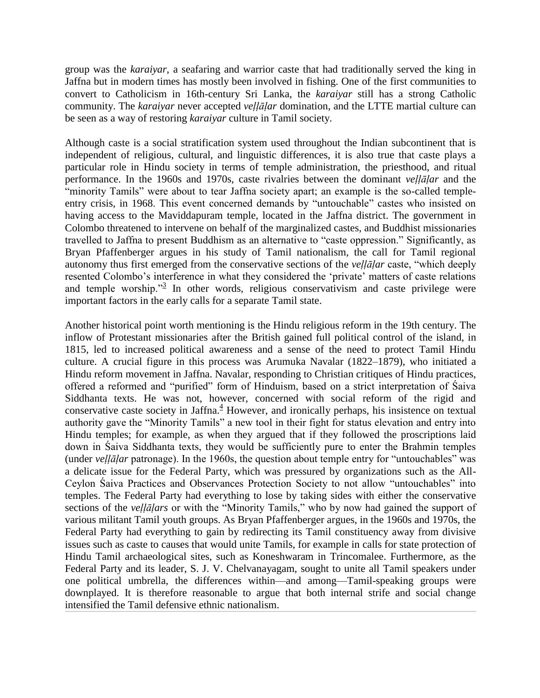group was the *karaiyar*, a seafaring and warrior caste that had traditionally served the king in Jaffna but in modern times has mostly been involved in fishing. One of the first communities to convert to Catholicism in 16th-century Sri Lanka, the *karaiyar* still has a strong Catholic community. The *karaiyar* never accepted *veḷḷāḷar* domination, and the LTTE martial culture can be seen as a way of restoring *karaiyar* culture in Tamil society.

Although caste is a social stratification system used throughout the Indian subcontinent that is independent of religious, cultural, and linguistic differences, it is also true that caste plays a particular role in Hindu society in terms of temple administration, the priesthood, and ritual performance. In the 1960s and 1970s, caste rivalries between the dominant *veḷḷāḷar* and the "minority Tamils" were about to tear Jaffna society apart; an example is the so-called templeentry crisis, in 1968. This event concerned demands by "untouchable" castes who insisted on having access to the Maviddapuram temple, located in the Jaffna district. The government in Colombo threatened to intervene on behalf of the marginalized castes, and Buddhist missionaries travelled to Jaffna to present Buddhism as an alternative to "caste oppression." Significantly, as Bryan Pfaffenberger argues in his study of Tamil nationalism, the call for Tamil regional autonomy thus first emerged from the conservative sections of the *vellalar* caste, "which deeply resented Colombo's interference in what they considered the 'private' matters of caste relations and temple worship."<sup>3</sup> In other words, religious conservativism and caste privilege were important factors in the early calls for a separate Tamil state.

Another historical point worth mentioning is the Hindu religious reform in the 19th century. The inflow of Protestant missionaries after the British gained full political control of the island, in 1815, led to increased political awareness and a sense of the need to protect Tamil Hindu culture. A crucial figure in this process was Arumuka Navalar (1822–1879), who initiated a Hindu reform movement in Jaffna. Navalar, responding to Christian critiques of Hindu practices, offered a reformed and "purified" form of Hinduism, based on a strict interpretation of Śaiva Siddhanta texts. He was not, however, concerned with social reform of the rigid and conservative caste society in Jaffna. $4$  However, and ironically perhaps, his insistence on textual authority gave the "Minority Tamils" a new tool in their fight for status elevation and entry into Hindu temples; for example, as when they argued that if they followed the proscriptions laid down in Śaiva Siddhanta texts, they would be sufficiently pure to enter the Brahmin temples (under *vellālar* patronage). In the 1960s, the question about temple entry for "untouchables" was a delicate issue for the Federal Party, which was pressured by organizations such as the All-Ceylon Saiva Practices and Observances Protection Society to not allow "untouchables" into temples. The Federal Party had everything to lose by taking sides with either the conservative sections of the *vellalars* or with the "Minority Tamils," who by now had gained the support of various militant Tamil youth groups. As Bryan Pfaffenberger argues, in the 1960s and 1970s, the Federal Party had everything to gain by redirecting its Tamil constituency away from divisive issues such as caste to causes that would unite Tamils, for example in calls for state protection of Hindu Tamil archaeological sites, such as Koneshwaram in Trincomalee. Furthermore, as the Federal Party and its leader, S. J. V. Chelvanayagam, sought to unite all Tamil speakers under one political umbrella, the differences within—and among—Tamil-speaking groups were downplayed. It is therefore reasonable to argue that both internal strife and social change intensified the Tamil defensive ethnic nationalism.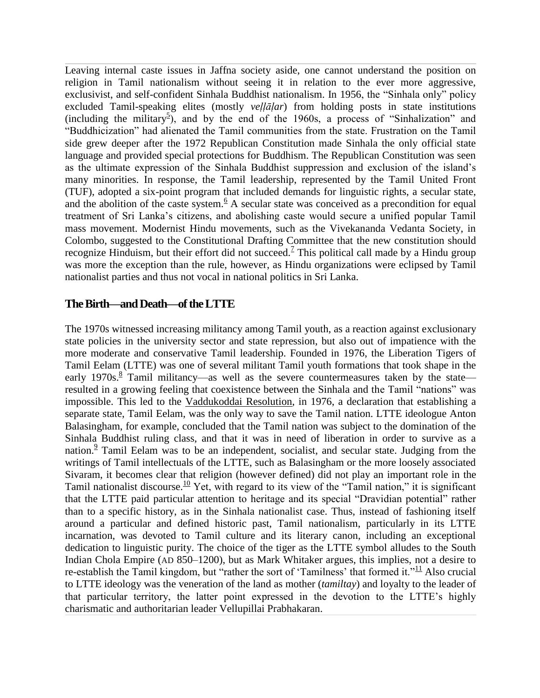Leaving internal caste issues in Jaffna society aside, one cannot understand the position on religion in Tamil nationalism without seeing it in relation to the ever more aggressive, exclusivist, and self-confident Sinhala Buddhist nationalism. In 1956, the "Sinhala only" policy excluded Tamil-speaking elites (mostly *veḷḷāḷar*) from holding posts in state institutions (including the military<sup>5</sup>), and by the end of the 1960s, a process of "Sinhalization" and ―Buddhicization‖ had alienated the Tamil communities from the state. Frustration on the Tamil side grew deeper after the 1972 Republican Constitution made Sinhala the only official state language and provided special protections for Buddhism. The Republican Constitution was seen as the ultimate expression of the Sinhala Buddhist suppression and exclusion of the island's many minorities. In response, the Tamil leadership, represented by the Tamil United Front (TUF), adopted a six-point program that included demands for linguistic rights, a secular state, and the abolition of the caste system. $6 A$  secular state was conceived as a precondition for equal treatment of Sri Lanka's citizens, and abolishing caste would secure a unified popular Tamil mass movement. Modernist Hindu movements, such as the Vivekananda Vedanta Society, in Colombo, suggested to the Constitutional Drafting Committee that the new constitution should recognize Hinduism, but their effort did not succeed.<sup> $7$ </sup> This political call made by a Hindu group was more the exception than the rule, however, as Hindu organizations were eclipsed by Tamil nationalist parties and thus not vocal in national politics in Sri Lanka.

# **The Birth—and Death—of the LTTE**

The 1970s witnessed increasing militancy among Tamil youth, as a reaction against exclusionary state policies in the university sector and state repression, but also out of impatience with the more moderate and conservative Tamil leadership. Founded in 1976, the Liberation Tigers of Tamil Eelam (LTTE) was one of several militant Tamil youth formations that took shape in the early 1970s. $8$  Tamil militancy—as well as the severe countermeasures taken by the state resulted in a growing feeling that coexistence between the Sinhala and the Tamil "nations" was impossible. This led to the [Vaddukoddai Resolution,](https://en.wikipedia.org/wiki/Vaddukoddai_Resolution) in 1976, a declaration that establishing a separate state, Tamil Eelam, was the only way to save the Tamil nation. LTTE ideologue Anton Balasingham, for example, concluded that the Tamil nation was subject to the domination of the Sinhala Buddhist ruling class, and that it was in need of liberation in order to survive as a nation.<sup>9</sup> Tamil Eelam was to be an independent, socialist, and secular state. Judging from the writings of Tamil intellectuals of the LTTE, such as Balasingham or the more loosely associated Sivaram, it becomes clear that religion (however defined) did not play an important role in the Tamil nationalist discourse.<sup>10</sup> Yet, with regard to its view of the "Tamil nation," it is significant that the LTTE paid particular attention to heritage and its special "Dravidian potential" rather than to a specific history, as in the Sinhala nationalist case. Thus, instead of fashioning itself around a particular and defined historic past, Tamil nationalism, particularly in its LTTE incarnation, was devoted to Tamil culture and its literary canon, including an exceptional dedication to linguistic purity. The choice of the tiger as the LTTE symbol alludes to the South Indian Chola Empire (AD 850–1200), but as Mark Whitaker argues, this implies, not a desire to re-establish the Tamil kingdom, but "rather the sort of 'Tamilness' that formed it." $\frac{11}{11}$  Also crucial to LTTE ideology was the veneration of the land as mother (*tamiltay*) and loyalty to the leader of that particular territory, the latter point expressed in the devotion to the LTTE's highly charismatic and authoritarian leader Vellupillai Prabhakaran.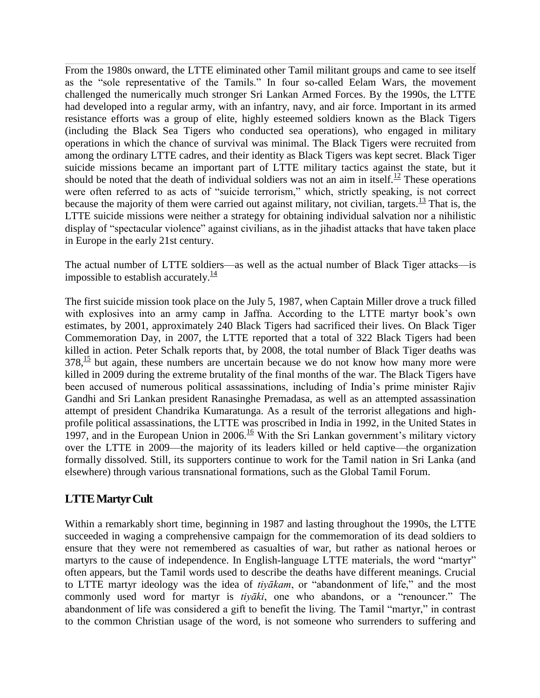From the 1980s onward, the LTTE eliminated other Tamil militant groups and came to see itself as the "sole representative of the Tamils." In four so-called Eelam Wars, the movement challenged the numerically much stronger Sri Lankan Armed Forces. By the 1990s, the LTTE had developed into a regular army, with an infantry, navy, and air force. Important in its armed resistance efforts was a group of elite, highly esteemed soldiers known as the Black Tigers (including the Black Sea Tigers who conducted sea operations), who engaged in military operations in which the chance of survival was minimal. The Black Tigers were recruited from among the ordinary LTTE cadres, and their identity as Black Tigers was kept secret. Black Tiger suicide missions became an important part of LTTE military tactics against the state, but it should be noted that the death of individual soldiers was not an aim in itself.<sup>12</sup> These operations were often referred to as acts of "suicide terrorism," which, strictly speaking, is not correct because the majority of them were carried out against military, not civilian, targets.<sup>13</sup> That is, the LTTE suicide missions were neither a strategy for obtaining individual salvation nor a nihilistic display of "spectacular violence" against civilians, as in the jihadist attacks that have taken place in Europe in the early 21st century.

The actual number of LTTE soldiers—as well as the actual number of Black Tiger attacks—is impossible to establish accurately. $\frac{14}{1}$ 

The first suicide mission took place on the July 5, 1987, when Captain Miller drove a truck filled with explosives into an army camp in Jaffna. According to the LTTE martyr book's own estimates, by 2001, approximately 240 Black Tigers had sacrificed their lives. On Black Tiger Commemoration Day, in 2007, the LTTE reported that a total of 322 Black Tigers had been killed in action. Peter Schalk reports that, by 2008, the total number of Black Tiger deaths was  $378<sup>15</sup>$  but again, these numbers are uncertain because we do not know how many more were killed in 2009 during the extreme brutality of the final months of the war. The Black Tigers have been accused of numerous political assassinations, including of India's prime minister Rajiv Gandhi and Sri Lankan president Ranasinghe Premadasa, as well as an attempted assassination attempt of president Chandrika Kumaratunga. As a result of the terrorist allegations and highprofile political assassinations, the LTTE was proscribed in India in 1992, in the United States in 1997, and in the European Union in  $2006 \frac{16}{10}$  With the Sri Lankan government's military victory over the LTTE in 2009—the majority of its leaders killed or held captive—the organization formally dissolved. Still, its supporters continue to work for the Tamil nation in Sri Lanka (and elsewhere) through various transnational formations, such as the Global Tamil Forum.

# **LTTE Martyr Cult**

Within a remarkably short time, beginning in 1987 and lasting throughout the 1990s, the LTTE succeeded in waging a comprehensive campaign for the commemoration of its dead soldiers to ensure that they were not remembered as casualties of war, but rather as national heroes or martyrs to the cause of independence. In English-language LTTE materials, the word "martyr" often appears, but the Tamil words used to describe the deaths have different meanings. Crucial to LTTE martyr ideology was the idea of *tiyākam*, or "abandonment of life," and the most commonly used word for martyr is *tiyaki*, one who abandons, or a "renouncer." The abandonment of life was considered a gift to benefit the living. The Tamil "martyr," in contrast to the common Christian usage of the word, is not someone who surrenders to suffering and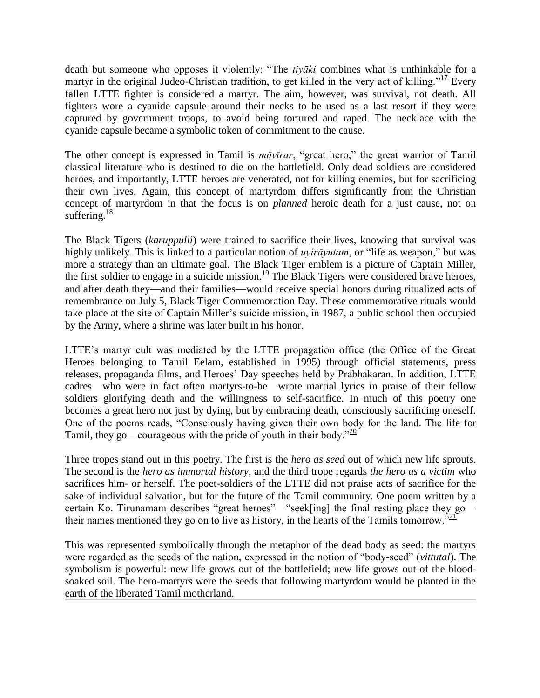death but someone who opposes it violently: "The *tiyaki* combines what is unthinkable for a martyr in the original Judeo-Christian tradition, to get killed in the very act of killing.<sup> $17$ </sup> Every fallen LTTE fighter is considered a martyr. The aim, however, was survival, not death. All fighters wore a cyanide capsule around their necks to be used as a last resort if they were captured by government troops, to avoid being tortured and raped. The necklace with the cyanide capsule became a symbolic token of commitment to the cause.

The other concept is expressed in Tamil is *māvīrar*, "great hero," the great warrior of Tamil classical literature who is destined to die on the battlefield. Only dead soldiers are considered heroes, and importantly, LTTE heroes are venerated, not for killing enemies, but for sacrificing their own lives. Again, this concept of martyrdom differs significantly from the Christian concept of martyrdom in that the focus is on *planned* heroic death for a just cause, not on suffering. $\frac{18}{18}$ 

The Black Tigers (*karuppulli*) were trained to sacrifice their lives, knowing that survival was highly unlikely. This is linked to a particular notion of *uyirāyutam*, or "life as weapon," but was more a strategy than an ultimate goal. The Black Tiger emblem is a picture of Captain Miller, the first soldier to engage in a suicide mission.<sup>19</sup> The Black Tigers were considered brave heroes, and after death they—and their families—would receive special honors during ritualized acts of remembrance on July 5, Black Tiger Commemoration Day. These commemorative rituals would take place at the site of Captain Miller's suicide mission, in 1987, a public school then occupied by the Army, where a shrine was later built in his honor.

LTTE's martyr cult was mediated by the LTTE propagation office (the Office of the Great Heroes belonging to Tamil Eelam, established in 1995) through official statements, press releases, propaganda films, and Heroes' Day speeches held by Prabhakaran. In addition, LTTE cadres—who were in fact often martyrs-to-be—wrote martial lyrics in praise of their fellow soldiers glorifying death and the willingness to self-sacrifice. In much of this poetry one becomes a great hero not just by dying, but by embracing death, consciously sacrificing oneself. One of the poems reads, "Consciously having given their own body for the land. The life for Tamil, they go—courageous with the pride of youth in their body.<sup> $20$ </sup>

Three tropes stand out in this poetry. The first is the *hero as seed* out of which new life sprouts. The second is the *hero as immortal history*, and the third trope regards *the hero as a victim* who sacrifices him- or herself. The poet-soldiers of the LTTE did not praise acts of sacrifice for the sake of individual salvation, but for the future of the Tamil community. One poem written by a certain Ko. Tirunamam describes "great heroes"—"seek[ing] the final resting place they go their names mentioned they go on to live as history, in the hearts of the Tamils tomorrow.<sup>221</sup>

This was represented symbolically through the metaphor of the dead body as seed: the martyrs were regarded as the seeds of the nation, expressed in the notion of "body-seed" (*vittutal*). The symbolism is powerful: new life grows out of the battlefield; new life grows out of the bloodsoaked soil. The hero-martyrs were the seeds that following martyrdom would be planted in the earth of the liberated Tamil motherland.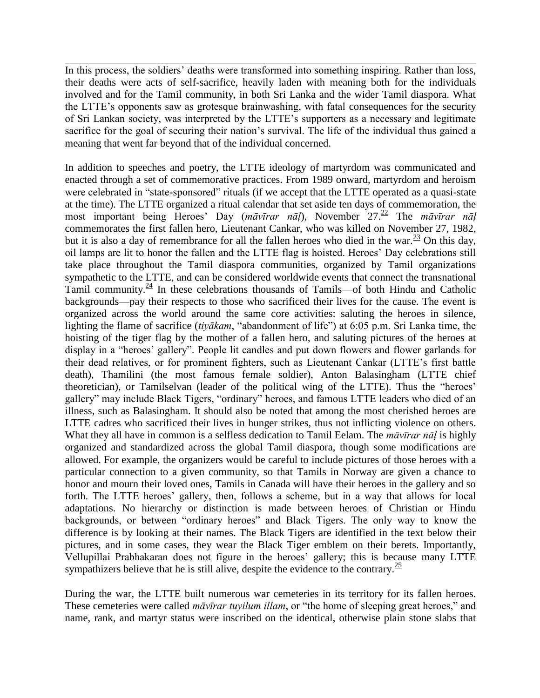In this process, the soldiers' deaths were transformed into something inspiring. Rather than loss, their deaths were acts of self-sacrifice, heavily laden with meaning both for the individuals involved and for the Tamil community, in both Sri Lanka and the wider Tamil diaspora. What the LTTE's opponents saw as grotesque brainwashing, with fatal consequences for the security of Sri Lankan society, was interpreted by the LTTE's supporters as a necessary and legitimate sacrifice for the goal of securing their nation's survival. The life of the individual thus gained a meaning that went far beyond that of the individual concerned.

In addition to speeches and poetry, the LTTE ideology of martyrdom was communicated and enacted through a set of commemorative practices. From 1989 onward, martyrdom and heroism were celebrated in "state-sponsored" rituals (if we accept that the LTTE operated as a quasi-state at the time). The LTTE organized a ritual calendar that set aside ten days of commemoration, the most important being Heroes' Day (māvīrar nāļ), November 27.<sup>22</sup> The māvīrar nāl commemorates the first fallen hero, Lieutenant Cankar, who was killed on November 27, 1982, but it is also a day of remembrance for all the fallen heroes who died in the war.  $\frac{23}{2}$  On this day, oil lamps are lit to honor the fallen and the LTTE flag is hoisted. Heroes' Day celebrations still take place throughout the Tamil diaspora communities, organized by Tamil organizations sympathetic to the LTTE, and can be considered worldwide events that connect the transnational Tamil community. $\frac{24}{5}$  In these celebrations thousands of Tamils—of both Hindu and Catholic backgrounds—pay their respects to those who sacrificed their lives for the cause. The event is organized across the world around the same core activities: saluting the heroes in silence, lighting the flame of sacrifice (*tiyākam*, "abandonment of life") at 6:05 p.m. Sri Lanka time, the hoisting of the tiger flag by the mother of a fallen hero, and saluting pictures of the heroes at display in a "heroes' gallery". People lit candles and put down flowers and flower garlands for their dead relatives, or for prominent fighters, such as Lieutenant Cankar (LTTE's first battle death), Thamilini (the most famous female soldier), Anton Balasingham (LTTE chief theoretician), or Tamilselvan (leader of the political wing of the LTTE). Thus the "heroes' gallery" may include Black Tigers, "ordinary" heroes, and famous LTTE leaders who died of an illness, such as Balasingham. It should also be noted that among the most cherished heroes are LTTE cadres who sacrificed their lives in hunger strikes, thus not inflicting violence on others. What they all have in common is a selfless dedication to Tamil Eelam. The *māvīrar nāḷ* is highly organized and standardized across the global Tamil diaspora, though some modifications are allowed. For example, the organizers would be careful to include pictures of those heroes with a particular connection to a given community, so that Tamils in Norway are given a chance to honor and mourn their loved ones, Tamils in Canada will have their heroes in the gallery and so forth. The LTTE heroes' gallery, then, follows a scheme, but in a way that allows for local adaptations. No hierarchy or distinction is made between heroes of Christian or Hindu backgrounds, or between "ordinary heroes" and Black Tigers. The only way to know the difference is by looking at their names. The Black Tigers are identified in the text below their pictures, and in some cases, they wear the Black Tiger emblem on their berets. Importantly, Vellupillai Prabhakaran does not figure in the heroes' gallery; this is because many LTTE sympathizers believe that he is still alive, despite the evidence to the contrary.<sup>25</sup>

During the war, the LTTE built numerous war cemeteries in its territory for its fallen heroes. These cemeteries were called *māvīrar tuyilum illam*, or "the home of sleeping great heroes," and name, rank, and martyr status were inscribed on the identical, otherwise plain stone slabs that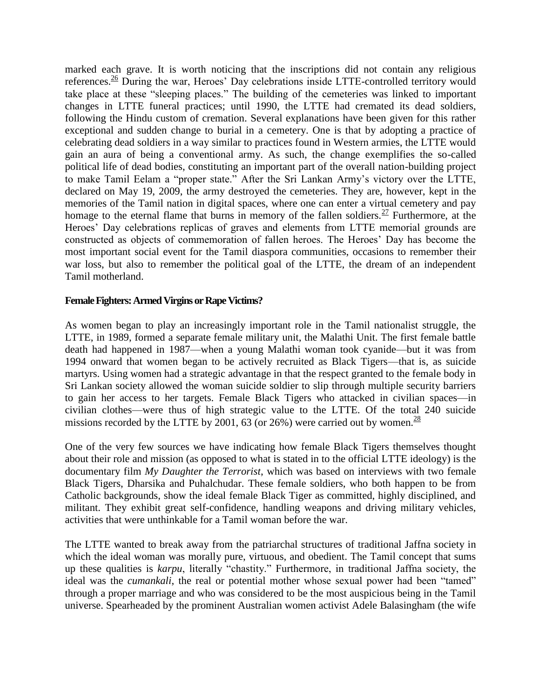marked each grave. It is worth noticing that the inscriptions did not contain any religious references.<sup>26</sup> During the war, Heroes' Day celebrations inside LTTE-controlled territory would take place at these "sleeping places." The building of the cemeteries was linked to important changes in LTTE funeral practices; until 1990, the LTTE had cremated its dead soldiers, following the Hindu custom of cremation. Several explanations have been given for this rather exceptional and sudden change to burial in a cemetery. One is that by adopting a practice of celebrating dead soldiers in a way similar to practices found in Western armies, the LTTE would gain an aura of being a conventional army. As such, the change exemplifies the so-called political life of dead bodies, constituting an important part of the overall nation-building project to make Tamil Eelam a "proper state." After the Sri Lankan Army's victory over the LTTE, declared on May 19, 2009, the army destroyed the cemeteries. They are, however, kept in the memories of the Tamil nation in digital spaces, where one can enter a virtual cemetery and pay homage to the eternal flame that burns in memory of the fallen soldiers.<sup>27</sup> Furthermore, at the Heroes' Day celebrations replicas of graves and elements from LTTE memorial grounds are constructed as objects of commemoration of fallen heroes. The Heroes' Day has become the most important social event for the Tamil diaspora communities, occasions to remember their war loss, but also to remember the political goal of the LTTE, the dream of an independent Tamil motherland.

#### **Female Fighters: Armed Virgins or Rape Victims?**

As women began to play an increasingly important role in the Tamil nationalist struggle, the LTTE, in 1989, formed a separate female military unit, the Malathi Unit. The first female battle death had happened in 1987—when a young Malathi woman took cyanide—but it was from 1994 onward that women began to be actively recruited as Black Tigers—that is, as suicide martyrs. Using women had a strategic advantage in that the respect granted to the female body in Sri Lankan society allowed the woman suicide soldier to slip through multiple security barriers to gain her access to her targets. Female Black Tigers who attacked in civilian spaces—in civilian clothes—were thus of high strategic value to the LTTE. Of the total 240 suicide missions recorded by the LTTE by 2001, 63 (or 26%) were carried out by women.<sup>28</sup>

One of the very few sources we have indicating how female Black Tigers themselves thought about their role and mission (as opposed to what is stated in to the official LTTE ideology) is the documentary film *My Daughter the Terrorist*, which was based on interviews with two female Black Tigers, Dharsika and Puhalchudar. These female soldiers, who both happen to be from Catholic backgrounds, show the ideal female Black Tiger as committed, highly disciplined, and militant. They exhibit great self-confidence, handling weapons and driving military vehicles, activities that were unthinkable for a Tamil woman before the war.

The LTTE wanted to break away from the patriarchal structures of traditional Jaffna society in which the ideal woman was morally pure, virtuous, and obedient. The Tamil concept that sums up these qualities is *karpu*, literally "chastity." Furthermore, in traditional Jaffna society, the ideal was the *cumankali*, the real or potential mother whose sexual power had been "tamed" through a proper marriage and who was considered to be the most auspicious being in the Tamil universe. Spearheaded by the prominent Australian women activist Adele Balasingham (the wife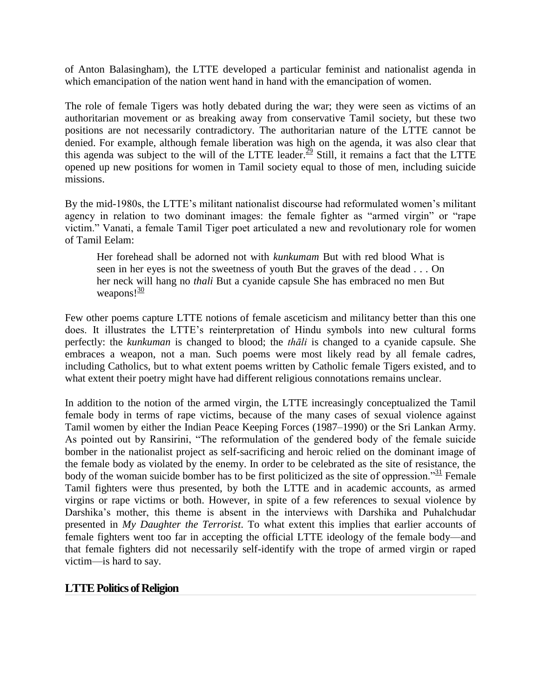of Anton Balasingham), the LTTE developed a particular feminist and nationalist agenda in which emancipation of the nation went hand in hand with the emancipation of women.

The role of female Tigers was hotly debated during the war; they were seen as victims of an authoritarian movement or as breaking away from conservative Tamil society, but these two positions are not necessarily contradictory. The authoritarian nature of the LTTE cannot be denied. For example, although female liberation was high on the agenda, it was also clear that this agenda was subject to the will of the LTTE leader.<sup>29</sup> Still, it remains a fact that the LTTE opened up new positions for women in Tamil society equal to those of men, including suicide missions.

By the mid-1980s, the LTTE's militant nationalist discourse had reformulated women's militant agency in relation to two dominant images: the female fighter as "armed virgin" or "rape victim." Vanati, a female Tamil Tiger poet articulated a new and revolutionary role for women of Tamil Eelam:

Her forehead shall be adorned not with *kunkumam* But with red blood What is seen in her eyes is not the sweetness of youth But the graves of the dead . . . On her neck will hang no *thali* But a cyanide capsule She has embraced no men But weapons! $\frac{30}{2}$ 

Few other poems capture LTTE notions of female asceticism and militancy better than this one does. It illustrates the LTTE's reinterpretation of Hindu symbols into new cultural forms perfectly: the *kunkuman* is changed to blood; the *thāli* is changed to a cyanide capsule. She embraces a weapon, not a man. Such poems were most likely read by all female cadres, including Catholics, but to what extent poems written by Catholic female Tigers existed, and to what extent their poetry might have had different religious connotations remains unclear.

In addition to the notion of the armed virgin, the LTTE increasingly conceptualized the Tamil female body in terms of rape victims, because of the many cases of sexual violence against Tamil women by either the Indian Peace Keeping Forces (1987–1990) or the Sri Lankan Army. As pointed out by Ransirini, "The reformulation of the gendered body of the female suicide bomber in the nationalist project as self-sacrificing and heroic relied on the dominant image of the female body as violated by the enemy. In order to be celebrated as the site of resistance, the body of the woman suicide bomber has to be first politicized as the site of oppression.<sup>31</sup> Female Tamil fighters were thus presented, by both the LTTE and in academic accounts, as armed virgins or rape victims or both. However, in spite of a few references to sexual violence by Darshika's mother, this theme is absent in the interviews with Darshika and Puhalchudar presented in *My Daughter the Terrorist*. To what extent this implies that earlier accounts of female fighters went too far in accepting the official LTTE ideology of the female body—and that female fighters did not necessarily self-identify with the trope of armed virgin or raped victim—is hard to say.

## **LTTE Politics of Religion**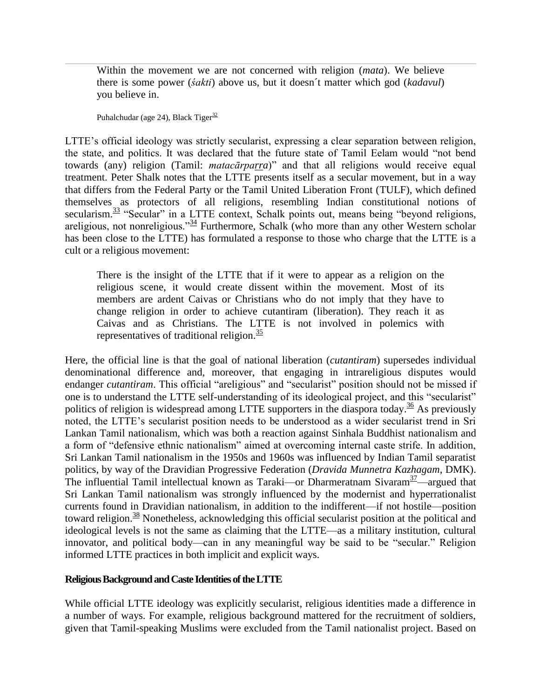Within the movement we are not concerned with religion (*mata*). We believe there is some power (*śakti*) above us, but it doesn´t matter which god (*kadavul*) you believe in.

Puhalchudar (age 24), Black Tiger $\frac{32}{3}$ 

LTTE's official ideology was strictly secularist, expressing a clear separation between religion, the state, and politics. It was declared that the future state of Tamil Eelam would "not bend towards (any) religion (Tamil: *matacārparra*)‖ and that all religions would receive equal treatment. Peter Shalk notes that the LTTE presents itself as a secular movement, but in a way that differs from the Federal Party or the Tamil United Liberation Front (TULF), which defined themselves as protectors of all religions, resembling Indian constitutional notions of secularism. $\frac{33}{12}$  "Secular" in a LTTE context, Schalk points out, means being "beyond religions, areligious, not nonreligious.<sup>334</sup> Furthermore, Schalk (who more than any other Western scholar has been close to the LTTE) has formulated a response to those who charge that the LTTE is a cult or a religious movement:

There is the insight of the LTTE that if it were to appear as a religion on the religious scene, it would create dissent within the movement. Most of its members are ardent Caivas or Christians who do not imply that they have to change religion in order to achieve cutantiram (liberation). They reach it as Caivas and as Christians. The LTTE is not involved in polemics with representatives of traditional religion. $\frac{35}{2}$ 

Here, the official line is that the goal of national liberation (*cutantiram*) supersedes individual denominational difference and, moreover, that engaging in intrareligious disputes would endanger *cutantiram*. This official "areligious" and "secularist" position should not be missed if one is to understand the LTTE self-understanding of its ideological project, and this "secularist" politics of religion is widespread among LTTE supporters in the diaspora today.<sup>36</sup> As previously noted, the LTTE's secularist position needs to be understood as a wider secularist trend in Sri Lankan Tamil nationalism, which was both a reaction against Sinhala Buddhist nationalism and a form of "defensive ethnic nationalism" aimed at overcoming internal caste strife. In addition, Sri Lankan Tamil nationalism in the 1950s and 1960s was influenced by Indian Tamil separatist politics, by way of the Dravidian Progressive Federation (*Dravida Munnetra Kazhagam*, DMK). The influential Tamil intellectual known as Taraki—or Dharmeratnam Sivaram<sup>37</sup>—argued that Sri Lankan Tamil nationalism was strongly influenced by the modernist and hyperrationalist currents found in Dravidian nationalism, in addition to the indifferent—if not hostile—position toward religion.<sup>38</sup> Nonetheless, acknowledging this official secularist position at the political and ideological levels is not the same as claiming that the LTTE—as a military institution, cultural innovator, and political body—can in any meaningful way be said to be "secular." Religion informed LTTE practices in both implicit and explicit ways.

#### **Religious Background and Caste Identities of the LTTE**

While official LTTE ideology was explicitly secularist, religious identities made a difference in a number of ways. For example, religious background mattered for the recruitment of soldiers, given that Tamil-speaking Muslims were excluded from the Tamil nationalist project. Based on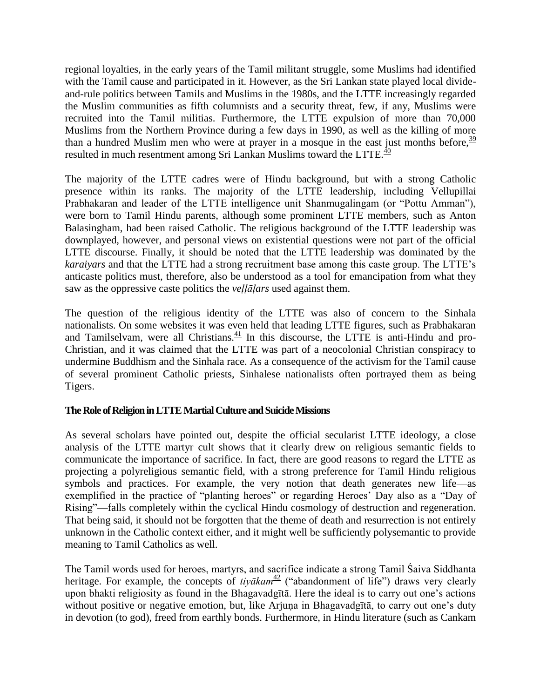regional loyalties, in the early years of the Tamil militant struggle, some Muslims had identified with the Tamil cause and participated in it. However, as the Sri Lankan state played local divideand-rule politics between Tamils and Muslims in the 1980s, and the LTTE increasingly regarded the Muslim communities as fifth columnists and a security threat, few, if any, Muslims were recruited into the Tamil militias. Furthermore, the LTTE expulsion of more than 70,000 Muslims from the Northern Province during a few days in 1990, as well as the killing of more than a hundred Muslim men who were at prayer in a mosque in the east just months before,  $\frac{39}{2}$ resulted in much resentment among Sri Lankan Muslims toward the LTTE. $\frac{40}{40}$ 

The majority of the LTTE cadres were of Hindu background, but with a strong Catholic presence within its ranks. The majority of the LTTE leadership, including Vellupillai Prabhakaran and leader of the LTTE intelligence unit Shanmugalingam (or "Pottu Amman"), were born to Tamil Hindu parents, although some prominent LTTE members, such as Anton Balasingham, had been raised Catholic. The religious background of the LTTE leadership was downplayed, however, and personal views on existential questions were not part of the official LTTE discourse. Finally, it should be noted that the LTTE leadership was dominated by the *karaiyars* and that the LTTE had a strong recruitment base among this caste group. The LTTE's anticaste politics must, therefore, also be understood as a tool for emancipation from what they saw as the oppressive caste politics the *veḷḷāḷars* used against them.

The question of the religious identity of the LTTE was also of concern to the Sinhala nationalists. On some websites it was even held that leading LTTE figures, such as Prabhakaran and Tamilselvam, were all Christians. $\frac{41}{10}$  In this discourse, the LTTE is anti-Hindu and pro-Christian, and it was claimed that the LTTE was part of a neocolonial Christian conspiracy to undermine Buddhism and the Sinhala race. As a consequence of the activism for the Tamil cause of several prominent Catholic priests, Sinhalese nationalists often portrayed them as being Tigers.

## **The Role of Religion in LTTE Martial Culture and Suicide Missions**

As several scholars have pointed out, despite the official secularist LTTE ideology, a close analysis of the LTTE martyr cult shows that it clearly drew on religious semantic fields to communicate the importance of sacrifice. In fact, there are good reasons to regard the LTTE as projecting a polyreligious semantic field, with a strong preference for Tamil Hindu religious symbols and practices. For example, the very notion that death generates new life—as exemplified in the practice of "planting heroes" or regarding Heroes' Day also as a "Day of Rising"—falls completely within the cyclical Hindu cosmology of destruction and regeneration. That being said, it should not be forgotten that the theme of death and resurrection is not entirely unknown in the Catholic context either, and it might well be sufficiently polysemantic to provide meaning to Tamil Catholics as well.

The Tamil words used for heroes, martyrs, and sacrifice indicate a strong Tamil Śaiva Siddhanta heritage. For example, the concepts of *tiyākam*<sup>42</sup> ("abandonment of life") draws very clearly upon bhakti religiosity as found in the Bhagavadgītā. Here the ideal is to carry out one's actions without positive or negative emotion, but, like Arjuṇa in Bhagavadgītā, to carry out one's duty in devotion (to god), freed from earthly bonds. Furthermore, in Hindu literature (such as Cankam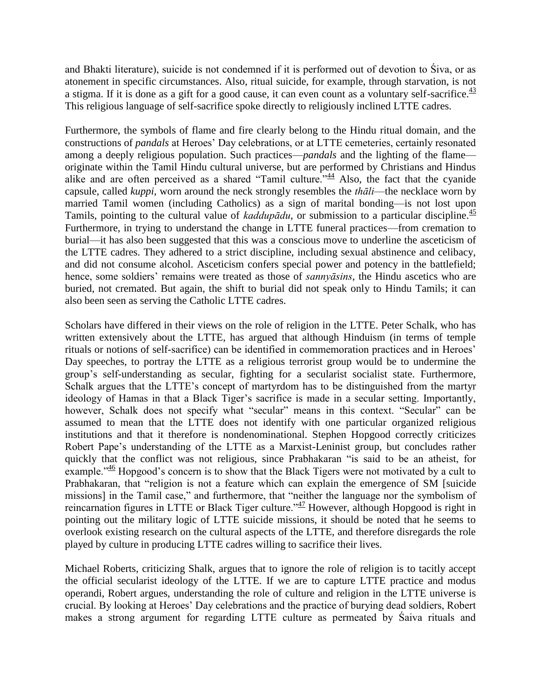and Bhakti literature), suicide is not condemned if it is performed out of devotion to Śiva, or as atonement in specific circumstances. Also, ritual suicide, for example, through starvation, is not a stigma. If it is done as a gift for a good cause, it can even count as a voluntary self-sacrifice.  $\frac{43}{2}$ This religious language of self-sacrifice spoke directly to religiously inclined LTTE cadres.

Furthermore, the symbols of flame and fire clearly belong to the Hindu ritual domain, and the constructions of *pandals* at Heroes' Day celebrations, or at LTTE cemeteries, certainly resonated among a deeply religious population. Such practices—*pandals* and the lighting of the flame originate within the Tamil Hindu cultural universe, but are performed by Christians and Hindus alike and are often perceived as a shared "Tamil culture."<sup>44</sup> Also, the fact that the cyanide capsule, called *kuppi*, worn around the neck strongly resembles the *thāli*—the necklace worn by married Tamil women (including Catholics) as a sign of marital bonding—is not lost upon Tamils, pointing to the cultural value of *kaddupādu*, or submission to a particular discipline.<sup>45</sup> Furthermore, in trying to understand the change in LTTE funeral practices—from cremation to burial—it has also been suggested that this was a conscious move to underline the asceticism of the LTTE cadres. They adhered to a strict discipline, including sexual abstinence and celibacy, and did not consume alcohol. Asceticism confers special power and potency in the battlefield; hence, some soldiers' remains were treated as those of *sannyāsins*, the Hindu ascetics who are buried, not cremated. But again, the shift to burial did not speak only to Hindu Tamils; it can also been seen as serving the Catholic LTTE cadres.

Scholars have differed in their views on the role of religion in the LTTE. Peter Schalk, who has written extensively about the LTTE, has argued that although Hinduism (in terms of temple rituals or notions of self-sacrifice) can be identified in commemoration practices and in Heroes' Day speeches, to portray the LTTE as a religious terrorist group would be to undermine the group's self-understanding as secular, fighting for a secularist socialist state. Furthermore, Schalk argues that the LTTE's concept of martyrdom has to be distinguished from the martyr ideology of Hamas in that a Black Tiger's sacrifice is made in a secular setting. Importantly, however, Schalk does not specify what "secular" means in this context. "Secular" can be assumed to mean that the LTTE does not identify with one particular organized religious institutions and that it therefore is nondenominational. Stephen Hopgood correctly criticizes Robert Pape's understanding of the LTTE as a Marxist-Leninist group, but concludes rather quickly that the conflict was not religious, since Prabhakaran "is said to be an atheist, for example.<sup> $346$ </sup> Hopgood's concern is to show that the Black Tigers were not motivated by a cult to Prabhakaran, that "religion is not a feature which can explain the emergence of SM [suicide] missions] in the Tamil case," and furthermore, that "neither the language nor the symbolism of reincarnation figures in LTTE or Black Tiger culture.<sup> $\frac{47}{47}$ </sup> However, although Hopgood is right in pointing out the military logic of LTTE suicide missions, it should be noted that he seems to overlook existing research on the cultural aspects of the LTTE, and therefore disregards the role played by culture in producing LTTE cadres willing to sacrifice their lives.

Michael Roberts, criticizing Shalk, argues that to ignore the role of religion is to tacitly accept the official secularist ideology of the LTTE. If we are to capture LTTE practice and modus operandi, Robert argues, understanding the role of culture and religion in the LTTE universe is crucial. By looking at Heroes' Day celebrations and the practice of burying dead soldiers, Robert makes a strong argument for regarding LTTE culture as permeated by Śaiva rituals and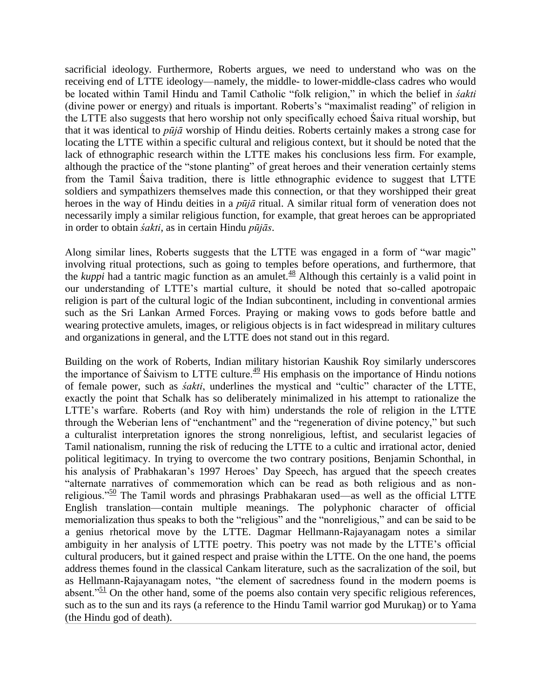sacrificial ideology. Furthermore, Roberts argues, we need to understand who was on the receiving end of LTTE ideology—namely, the middle- to lower-middle-class cadres who would be located within Tamil Hindu and Tamil Catholic "folk religion," in which the belief in *śakti* (divine power or energy) and rituals is important. Roberts's "maximalist reading" of religion in the LTTE also suggests that hero worship not only specifically echoed Śaiva ritual worship, but that it was identical to *pūjā* worship of Hindu deities. Roberts certainly makes a strong case for locating the LTTE within a specific cultural and religious context, but it should be noted that the lack of ethnographic research within the LTTE makes his conclusions less firm. For example, although the practice of the "stone planting" of great heroes and their veneration certainly stems from the Tamil Śaiva tradition, there is little ethnographic evidence to suggest that LTTE soldiers and sympathizers themselves made this connection, or that they worshipped their great heroes in the way of Hindu deities in a *pūjā* ritual. A similar ritual form of veneration does not necessarily imply a similar religious function, for example, that great heroes can be appropriated in order to obtain *śakti*, as in certain Hindu *pūjās*.

Along similar lines, Roberts suggests that the LTTE was engaged in a form of "war magic" involving ritual protections, such as going to temples before operations, and furthermore, that the *kuppi* had a tantric magic function as an amulet.<sup>48</sup> Although this certainly is a valid point in our understanding of LTTE's martial culture, it should be noted that so-called apotropaic religion is part of the cultural logic of the Indian subcontinent, including in conventional armies such as the Sri Lankan Armed Forces. Praying or making vows to gods before battle and wearing protective amulets, images, or religious objects is in fact widespread in military cultures and organizations in general, and the LTTE does not stand out in this regard.

Building on the work of Roberts, Indian military historian Kaushik Roy similarly underscores the importance of Saivism to LTTE culture.<sup> $49$ </sup> His emphasis on the importance of Hindu notions of female power, such as *śakti*, underlines the mystical and "cultic" character of the LTTE, exactly the point that Schalk has so deliberately minimalized in his attempt to rationalize the LTTE's warfare. Roberts (and Roy with him) understands the role of religion in the LTTE through the Weberian lens of "enchantment" and the "regeneration of divine potency," but such a culturalist interpretation ignores the strong nonreligious, leftist, and secularist legacies of Tamil nationalism, running the risk of reducing the LTTE to a cultic and irrational actor, denied political legitimacy. In trying to overcome the two contrary positions, Benjamin Schonthal, in his analysis of Prabhakaran's 1997 Heroes' Day Speech, has argued that the speech creates ―alternate narratives of commemoration which can be read as both religious and as nonreligious.<sup> $\frac{50}{2}$ </sup> The Tamil words and phrasings Prabhakaran used—as well as the official LTTE English translation—contain multiple meanings. The polyphonic character of official memorialization thus speaks to both the "religious" and the "nonreligious," and can be said to be a genius rhetorical move by the LTTE. Dagmar Hellmann-Rajayanagam notes a similar ambiguity in her analysis of LTTE poetry. This poetry was not made by the LTTE's official cultural producers, but it gained respect and praise within the LTTE. On the one hand, the poems address themes found in the classical Cankam literature, such as the sacralization of the soil, but as Hellmann-Rajayanagam notes, "the element of sacredness found in the modern poems is absent.<sup> $51$ </sup> On the other hand, some of the poems also contain very specific religious references, such as to the sun and its rays (a reference to the Hindu Tamil warrior god Murukaṉ) or to Yama (the Hindu god of death).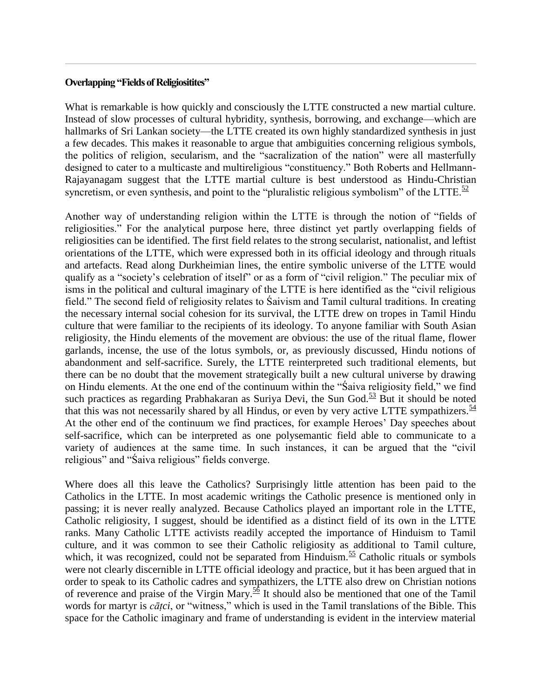#### **Overlapping "Fields of Religiositites"**

What is remarkable is how quickly and consciously the LTTE constructed a new martial culture. Instead of slow processes of cultural hybridity, synthesis, borrowing, and exchange—which are hallmarks of Sri Lankan society—the LTTE created its own highly standardized synthesis in just a few decades. This makes it reasonable to argue that ambiguities concerning religious symbols, the politics of religion, secularism, and the "sacralization of the nation" were all masterfully designed to cater to a multicaste and multireligious "constituency." Both Roberts and Hellmann-Rajayanagam suggest that the LTTE martial culture is best understood as Hindu-Christian syncretism, or even synthesis, and point to the "pluralistic religious symbolism" of the LTTE. $\frac{52}{5}$ 

Another way of understanding religion within the LTTE is through the notion of "fields of religiosities.‖ For the analytical purpose here, three distinct yet partly overlapping fields of religiosities can be identified. The first field relates to the strong secularist, nationalist, and leftist orientations of the LTTE, which were expressed both in its official ideology and through rituals and artefacts. Read along Durkheimian lines, the entire symbolic universe of the LTTE would qualify as a "society's celebration of itself" or as a form of "civil religion." The peculiar mix of isms in the political and cultural imaginary of the LTTE is here identified as the "civil religious" field.‖ The second field of religiosity relates to Śaivism and Tamil cultural traditions. In creating the necessary internal social cohesion for its survival, the LTTE drew on tropes in Tamil Hindu culture that were familiar to the recipients of its ideology. To anyone familiar with South Asian religiosity, the Hindu elements of the movement are obvious: the use of the ritual flame, flower garlands, incense, the use of the lotus symbols, or, as previously discussed, Hindu notions of abandonment and self-sacrifice. Surely, the LTTE reinterpreted such traditional elements, but there can be no doubt that the movement strategically built a new cultural universe by drawing on Hindu elements. At the one end of the continuum within the "Saiva religiosity field," we find such practices as regarding Prabhakaran as Suriya Devi, the Sun God. $\frac{53}{5}$  But it should be noted that this was not necessarily shared by all Hindus, or even by very active LTTE sympathizers.  $\frac{54}{5}$ At the other end of the continuum we find practices, for example Heroes' Day speeches about self-sacrifice, which can be interpreted as one polysemantic field able to communicate to a variety of audiences at the same time. In such instances, it can be argued that the "civil" religious" and "Saiva religious" fields converge.

Where does all this leave the Catholics? Surprisingly little attention has been paid to the Catholics in the LTTE. In most academic writings the Catholic presence is mentioned only in passing; it is never really analyzed. Because Catholics played an important role in the LTTE, Catholic religiosity, I suggest, should be identified as a distinct field of its own in the LTTE ranks. Many Catholic LTTE activists readily accepted the importance of Hinduism to Tamil culture, and it was common to see their Catholic religiosity as additional to Tamil culture, which, it was recognized, could not be separated from Hinduism.<sup>55</sup> Catholic rituals or symbols were not clearly discernible in LTTE official ideology and practice, but it has been argued that in order to speak to its Catholic cadres and sympathizers, the LTTE also drew on Christian notions of reverence and praise of the Virgin Mary.<sup>56</sup> It should also be mentioned that one of the Tamil words for martyr is *cātci*, or "witness," which is used in the Tamil translations of the Bible. This space for the Catholic imaginary and frame of understanding is evident in the interview material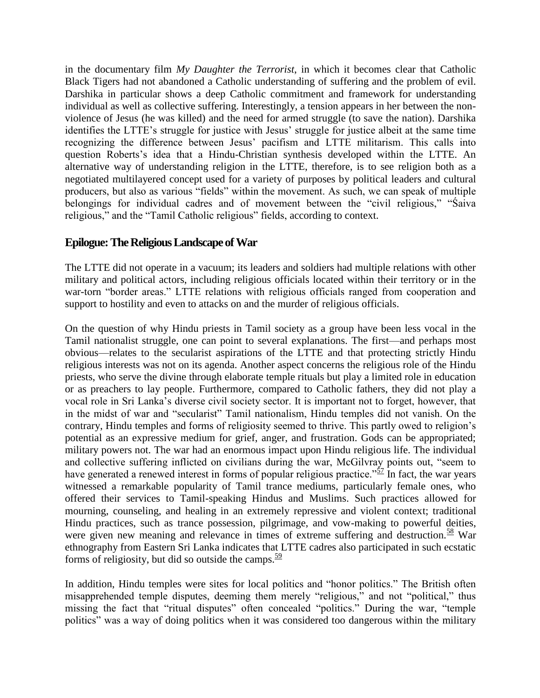in the documentary film *My Daughter the Terrorist*, in which it becomes clear that Catholic Black Tigers had not abandoned a Catholic understanding of suffering and the problem of evil. Darshika in particular shows a deep Catholic commitment and framework for understanding individual as well as collective suffering. Interestingly, a tension appears in her between the nonviolence of Jesus (he was killed) and the need for armed struggle (to save the nation). Darshika identifies the LTTE's struggle for justice with Jesus' struggle for justice albeit at the same time recognizing the difference between Jesus' pacifism and LTTE militarism. This calls into question Roberts's idea that a Hindu-Christian synthesis developed within the LTTE. An alternative way of understanding religion in the LTTE, therefore, is to see religion both as a negotiated multilayered concept used for a variety of purposes by political leaders and cultural producers, but also as various "fields" within the movement. As such, we can speak of multiple belongings for individual cadres and of movement between the "civil religious," "Saiva" religious," and the "Tamil Catholic religious" fields, according to context.

# **Epilogue: The Religious Landscape of War**

The LTTE did not operate in a vacuum; its leaders and soldiers had multiple relations with other military and political actors, including religious officials located within their territory or in the war-torn "border areas." LTTE relations with religious officials ranged from cooperation and support to hostility and even to attacks on and the murder of religious officials.

On the question of why Hindu priests in Tamil society as a group have been less vocal in the Tamil nationalist struggle, one can point to several explanations. The first—and perhaps most obvious—relates to the secularist aspirations of the LTTE and that protecting strictly Hindu religious interests was not on its agenda. Another aspect concerns the religious role of the Hindu priests, who serve the divine through elaborate temple rituals but play a limited role in education or as preachers to lay people. Furthermore, compared to Catholic fathers, they did not play a vocal role in Sri Lanka's diverse civil society sector. It is important not to forget, however, that in the midst of war and "secularist" Tamil nationalism, Hindu temples did not vanish. On the contrary, Hindu temples and forms of religiosity seemed to thrive. This partly owed to religion's potential as an expressive medium for grief, anger, and frustration. Gods can be appropriated; military powers not. The war had an enormous impact upon Hindu religious life. The individual and collective suffering inflicted on civilians during the war, McGilvray points out, "seem to have generated a renewed interest in forms of popular religious practice.<sup> $57$ </sup> In fact, the war years witnessed a remarkable popularity of Tamil trance mediums, particularly female ones, who offered their services to Tamil-speaking Hindus and Muslims. Such practices allowed for mourning, counseling, and healing in an extremely repressive and violent context; traditional Hindu practices, such as trance possession, pilgrimage, and vow-making to powerful deities, were given new meaning and relevance in times of extreme suffering and destruction.<sup>58</sup> War ethnography from Eastern Sri Lanka indicates that LTTE cadres also participated in such ecstatic forms of religiosity, but did so outside the camps.  $\frac{59}{2}$ 

In addition, Hindu temples were sites for local politics and "honor politics." The British often misapprehended temple disputes, deeming them merely "religious," and not "political," thus missing the fact that "ritual disputes" often concealed "politics." During the war, "temple politics" was a way of doing politics when it was considered too dangerous within the military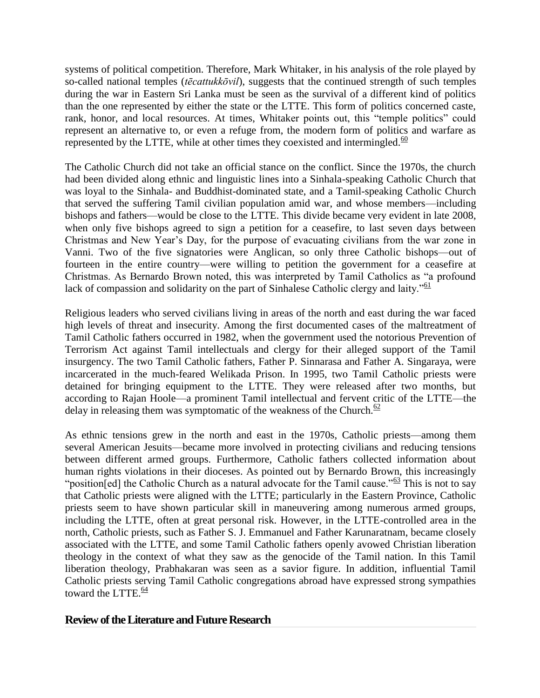systems of political competition. Therefore, Mark Whitaker, in his analysis of the role played by so-called national temples (*tēcattukkōvil*), suggests that the continued strength of such temples during the war in Eastern Sri Lanka must be seen as the survival of a different kind of politics than the one represented by either the state or the LTTE. This form of politics concerned caste, rank, honor, and local resources. At times, Whitaker points out, this "temple politics" could represent an alternative to, or even a refuge from, the modern form of politics and warfare as represented by the LTTE, while at other times they coexisted and intermingled. $\frac{60}{2}$ 

The Catholic Church did not take an official stance on the conflict. Since the 1970s, the church had been divided along ethnic and linguistic lines into a Sinhala-speaking Catholic Church that was loyal to the Sinhala- and Buddhist-dominated state, and a Tamil-speaking Catholic Church that served the suffering Tamil civilian population amid war, and whose members—including bishops and fathers—would be close to the LTTE. This divide became very evident in late 2008, when only five bishops agreed to sign a petition for a ceasefire, to last seven days between Christmas and New Year's Day, for the purpose of evacuating civilians from the war zone in Vanni. Two of the five signatories were Anglican, so only three Catholic bishops—out of fourteen in the entire country—were willing to petition the government for a ceasefire at Christmas. As Bernardo Brown noted, this was interpreted by Tamil Catholics as "a profound lack of compassion and solidarity on the part of Sinhalese Catholic clergy and laity.<sup> $61$ </sup>

Religious leaders who served civilians living in areas of the north and east during the war faced high levels of threat and insecurity. Among the first documented cases of the maltreatment of Tamil Catholic fathers occurred in 1982, when the government used the notorious Prevention of Terrorism Act against Tamil intellectuals and clergy for their alleged support of the Tamil insurgency. The two Tamil Catholic fathers, Father P. Sinnarasa and Father A. Singaraya, were incarcerated in the much-feared Welikada Prison. In 1995, two Tamil Catholic priests were detained for bringing equipment to the LTTE. They were released after two months, but according to Rajan Hoole—a prominent Tamil intellectual and fervent critic of the LTTE—the delay in releasing them was symptomatic of the weakness of the Church.<sup>62</sup>

As ethnic tensions grew in the north and east in the 1970s, Catholic priests—among them several American Jesuits—became more involved in protecting civilians and reducing tensions between different armed groups. Furthermore, Catholic fathers collected information about human rights violations in their dioceses. As pointed out by Bernardo Brown, this increasingly "position[ed] the Catholic Church as a natural advocate for the Tamil cause."<sup>63</sup> This is not to say that Catholic priests were aligned with the LTTE; particularly in the Eastern Province, Catholic priests seem to have shown particular skill in maneuvering among numerous armed groups, including the LTTE, often at great personal risk. However, in the LTTE-controlled area in the north, Catholic priests, such as Father S. J. Emmanuel and Father Karunaratnam, became closely associated with the LTTE, and some Tamil Catholic fathers openly avowed Christian liberation theology in the context of what they saw as the genocide of the Tamil nation. In this Tamil liberation theology, Prabhakaran was seen as a savior figure. In addition, influential Tamil Catholic priests serving Tamil Catholic congregations abroad have expressed strong sympathies toward the LTTE. $\frac{64}{5}$ 

## **Review of the Literature and Future Research**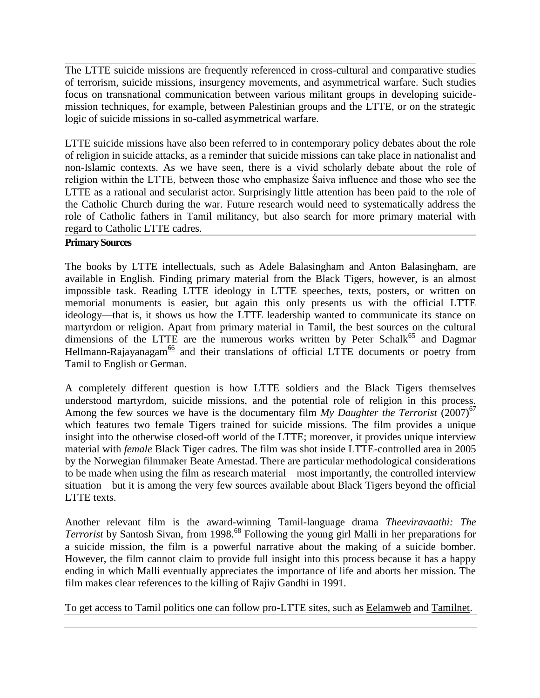The LTTE suicide missions are frequently referenced in cross-cultural and comparative studies of terrorism, suicide missions, insurgency movements, and asymmetrical warfare. Such studies focus on transnational communication between various militant groups in developing suicidemission techniques, for example, between Palestinian groups and the LTTE, or on the strategic logic of suicide missions in so-called asymmetrical warfare.

LTTE suicide missions have also been referred to in contemporary policy debates about the role of religion in suicide attacks, as a reminder that suicide missions can take place in nationalist and non-Islamic contexts. As we have seen, there is a vivid scholarly debate about the role of religion within the LTTE, between those who emphasize Śaiva influence and those who see the LTTE as a rational and secularist actor. Surprisingly little attention has been paid to the role of the Catholic Church during the war. Future research would need to systematically address the role of Catholic fathers in Tamil militancy, but also search for more primary material with regard to Catholic LTTE cadres.

## **Primary Sources**

The books by LTTE intellectuals, such as Adele Balasingham and Anton Balasingham, are available in English. Finding primary material from the Black Tigers, however, is an almost impossible task. Reading LTTE ideology in LTTE speeches, texts, posters, or written on memorial monuments is easier, but again this only presents us with the official LTTE ideology—that is, it shows us how the LTTE leadership wanted to communicate its stance on martyrdom or religion. Apart from primary material in Tamil, the best sources on the cultural dimensions of the LTTE are the numerous works written by Peter Schalk<sup>65</sup> and Dagmar Hellmann-Rajayanagam<sup>66</sup> and their translations of official LTTE documents or poetry from Tamil to English or German.

A completely different question is how LTTE soldiers and the Black Tigers themselves understood martyrdom, suicide missions, and the potential role of religion in this process. Among the few sources we have is the documentary film *My Daughter the Terrorist* (2007)<sup>67</sup> which features two female Tigers trained for suicide missions. The film provides a unique insight into the otherwise closed-off world of the LTTE; moreover, it provides unique interview material with *female* Black Tiger cadres. The film was shot inside LTTE-controlled area in 2005 by the Norwegian filmmaker Beate Arnestad. There are particular methodological considerations to be made when using the film as research material—most importantly, the controlled interview situation—but it is among the very few sources available about Black Tigers beyond the official LTTE texts.

Another relevant film is the award-winning Tamil-language drama *Theeviravaathi: The Terrorist* by Santosh Sivan, from 1998.<sup>68</sup> Following the young girl Malli in her preparations for a suicide mission, the film is a powerful narrative about the making of a suicide bomber. However, the film cannot claim to provide full insight into this process because it has a happy ending in which Malli eventually appreciates the importance of life and aborts her mission. The film makes clear references to the killing of Rajiv Gandhi in 1991.

To get access to Tamil politics one can follow pro-LTTE sites, such as [Eelamweb](http://www.eelamweb.com/) and [Tamilnet.](https://www.tamilnet.com/)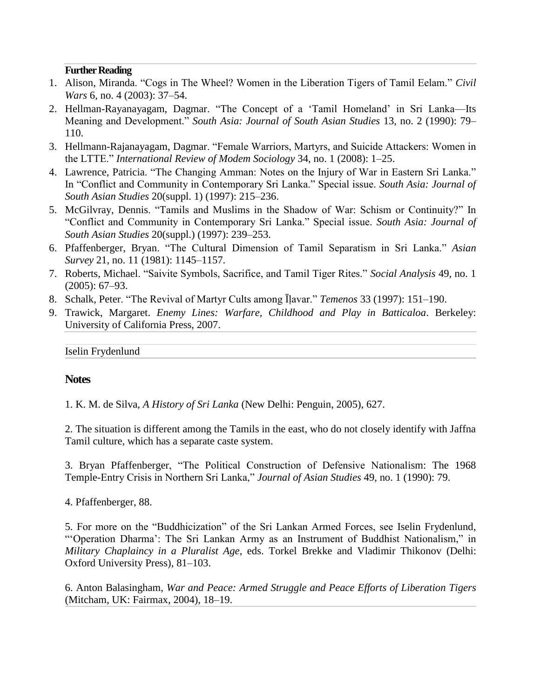#### **Further Reading**

- 1. Alison, Miranda. "Cogs in The Wheel? Women in the Liberation Tigers of Tamil Eelam." *Civil Wars* 6, no. 4 (2003): 37–54.
- 2. Hellman-Rayanayagam, Dagmar. "The Concept of a 'Tamil Homeland' in Sri Lanka—Its Meaning and Development.‖ *South Asia: Journal of South Asian Studies* 13, no. 2 (1990): 79– 110.
- 3. Hellmann-Rajanayagam, Dagmar. "Female Warriors, Martyrs, and Suicide Attackers: Women in the LTTE.‖ *International Review of Modem Sociology* 34, no. 1 (2008): 1–25.
- 4. Lawrence, Patricia. "The Changing Amman: Notes on the Injury of War in Eastern Sri Lanka." In "Conflict and Community in Contemporary Sri Lanka." Special issue. *South Asia: Journal of South Asian Studies* 20(suppl. 1) (1997): 215–236.
- 5. McGilvray, Dennis. "Tamils and Muslims in the Shadow of War: Schism or Continuity?" In ―Conflict and Community in Contemporary Sri Lanka.‖ Special issue. *South Asia: Journal of South Asian Studies* 20(suppl.) (1997): 239–253.
- 6. Pfaffenberger, Bryan. ―The Cultural Dimension of Tamil Separatism in Sri Lanka.‖ *Asian Survey* 21, no. 11 (1981): 1145–1157.
- 7. Roberts, Michael. ―Saivite Symbols, Sacrifice, and Tamil Tiger Rites.‖ *Social Analysis* 49, no. 1 (2005): 67–93.
- 8. Schalk, Peter. "The Revival of Martyr Cults among Ilavar." *Temenos* 33 (1997): 151–190.
- 9. Trawick, Margaret. *Enemy Lines: Warfare, Childhood and Play in Batticaloa*. Berkeley: University of California Press, 2007.

## **Notes**

1. K. M. de Silva, *A History of Sri Lanka* (New Delhi: Penguin, 2005), 627.

2. The situation is different among the Tamils in the east, who do not closely identify with Jaffna Tamil culture, which has a separate caste system.

3. Bryan Pfaffenberger, "The Political Construction of Defensive Nationalism: The 1968 Temple-Entry Crisis in Northern Sri Lanka," *Journal of Asian Studies* 49, no. 1 (1990): 79.

4. Pfaffenberger, 88.

5. For more on the "Buddhicization" of the Sri Lankan Armed Forces, see Iselin Frydenlund, "Operation Dharma': The Sri Lankan Army as an Instrument of Buddhist Nationalism," in *Military Chaplaincy in a Pluralist Age*, eds. Torkel Brekke and Vladimir Thikonov (Delhi: Oxford University Press), 81–103.

6. Anton Balasingham, *War and Peace: Armed Struggle and Peace Efforts of Liberation Tigers* (Mitcham, UK: Fairmax, 2004), 18–19.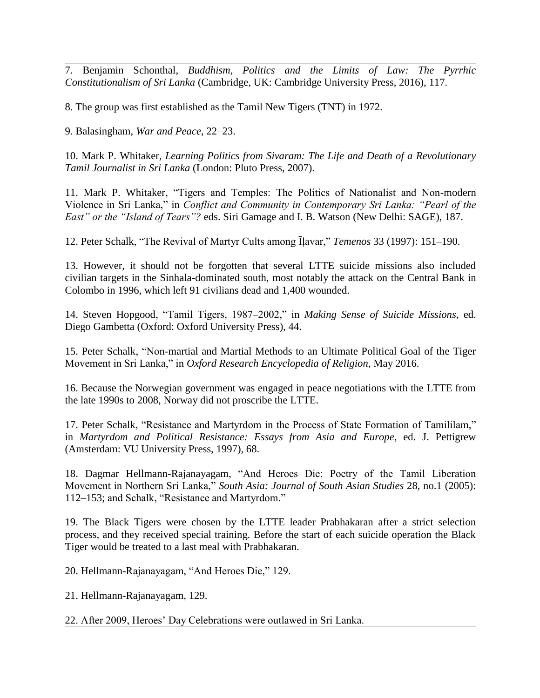7. Benjamin Schonthal, *Buddhism, Politics and the Limits of Law: The Pyrrhic Constitutionalism of Sri Lanka* (Cambridge, UK: Cambridge University Press, 2016), 117.

8. The group was first established as the Tamil New Tigers (TNT) in 1972.

9. Balasingham, *War and Peace*, 22–23.

10. Mark P. Whitaker, *Learning Politics from Sivaram: The Life and Death of a Revolutionary Tamil Journalist in Sri Lanka* (London: Pluto Press, 2007).

11. Mark P. Whitaker, "Tigers and Temples: The Politics of Nationalist and Non-modern Violence in Sri Lanka," in *Conflict and Community in Contemporary Sri Lanka: "Pearl of the East" or the "Island of Tears"?* eds. Siri Gamage and I. B. Watson (New Delhi: SAGE), 187.

12. Peter Schalk, "The Revival of Martyr Cults among Ilavar," *Temenos* 33 (1997): 151–190.

13. However, it should not be forgotten that several LTTE suicide missions also included civilian targets in the Sinhala-dominated south, most notably the attack on the Central Bank in Colombo in 1996, which left 91 civilians dead and 1,400 wounded.

14. Steven Hopgood, "Tamil Tigers, 1987–2002," in *Making Sense of Suicide Missions*, ed. Diego Gambetta (Oxford: Oxford University Press), 44.

15. Peter Schalk, "Non-martial and Martial Methods to an Ultimate Political Goal of the Tiger Movement in Sri Lanka," in *Oxford Research Encyclopedia of Religion*, May 2016.

16. Because the Norwegian government was engaged in peace negotiations with the LTTE from the late 1990s to 2008, Norway did not proscribe the LTTE.

17. Peter Schalk, "Resistance and Martyrdom in the Process of State Formation of Tamililam," in *Martyrdom and Political Resistance: Essays from Asia and Europe*, ed. J. Pettigrew (Amsterdam: VU University Press, 1997), 68.

18. Dagmar Hellmann-Rajanayagam, "And Heroes Die: Poetry of the Tamil Liberation Movement in Northern Sri Lanka," South Asia: Journal of South Asian Studies 28, no.1 (2005): 112–153; and Schalk, "Resistance and Martyrdom."

19. The Black Tigers were chosen by the LTTE leader Prabhakaran after a strict selection process, and they received special training. Before the start of each suicide operation the Black Tiger would be treated to a last meal with Prabhakaran.

20. Hellmann-Rajanayagam, "And Heroes Die," 129.

21. Hellmann-Rajanayagam, 129.

22. After 2009, Heroes' Day Celebrations were outlawed in Sri Lanka.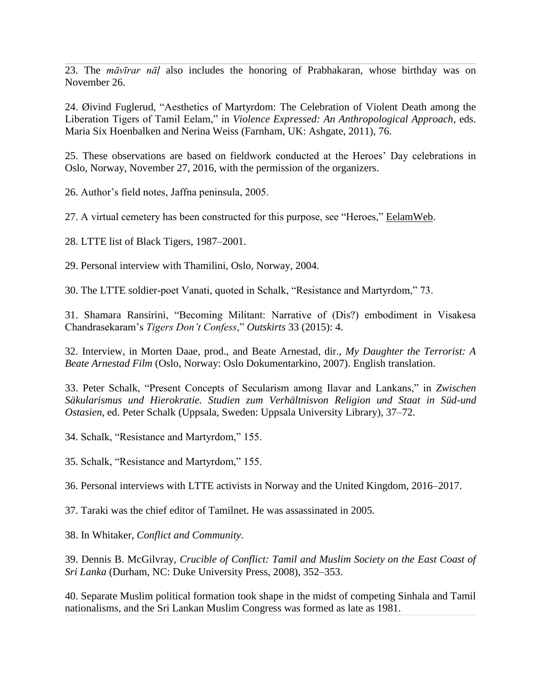23. The *māvīrar nāḷ* also includes the honoring of Prabhakaran, whose birthday was on November 26.

24. Øivind Fuglerud, "Aesthetics of Martyrdom: The Celebration of Violent Death among the Liberation Tigers of Tamil Eelam," in *Violence Expressed: An Anthropological Approach*, eds. Maria Six Hoenbalken and Nerina Weiss (Farnham, UK: Ashgate, 2011), 76.

25. These observations are based on fieldwork conducted at the Heroes' Day celebrations in Oslo, Norway, November 27, 2016, with the permission of the organizers.

26. Author's field notes, Jaffna peninsula, 2005.

27. A virtual cemetery has been constructed for this purpose, see "Heroes," [EelamWeb.](http://www.eelamweb.com/)

28. LTTE list of Black Tigers, 1987–2001.

29. Personal interview with Thamilini, Oslo, Norway, 2004.

30. The LTTE soldier-poet Vanati, quoted in Schalk, "Resistance and Martyrdom," 73.

31. Shamara Ransirini, "Becoming Militant: Narrative of (Dis?) embodiment in Visakesa Chandrasekaram's *Tigers Don't Confess*," Outskirts 33 (2015): 4.

32. Interview, in Morten Daae, prod., and Beate Arnestad, dir., *My Daughter the Terrorist: A Beate Arnestad Film* (Oslo, Norway: Oslo Dokumentarkino, 2007). English translation.

33. Peter Schalk, "Present Concepts of Secularism among Ilavar and Lankans," in *Zwischen Säkularismus und Hierokratie. Studien zum Verhältnisvon Religion und Staat in Süd-und Ostasien*, ed. Peter Schalk (Uppsala, Sweden: Uppsala University Library), 37–72.

34. Schalk, "Resistance and Martyrdom," 155.

35. Schalk, "Resistance and Martyrdom," 155.

36. Personal interviews with LTTE activists in Norway and the United Kingdom, 2016–2017.

37. Taraki was the chief editor of Tamilnet. He was assassinated in 2005.

38. In Whitaker, *Conflict and Community*.

39. Dennis B. McGilvray, *Crucible of Conflict: Tamil and Muslim Society on the East Coast of Sri Lanka* (Durham, NC: Duke University Press, 2008), 352–353.

40. Separate Muslim political formation took shape in the midst of competing Sinhala and Tamil nationalisms, and the Sri Lankan Muslim Congress was formed as late as 1981.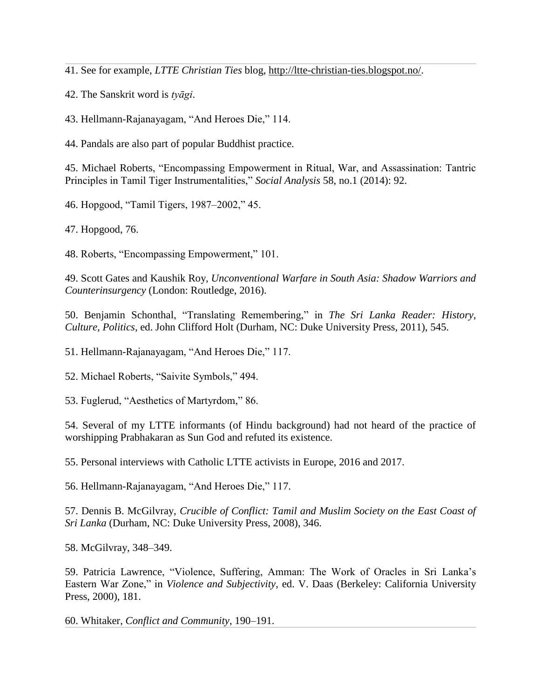41. See for example, *LTTE Christian Ties* blog, [http://ltte-christian-ties.blogspot.no/.](http://ltte-christian-ties.blogspot.no/)

42. The Sanskrit word is *tyāgi*.

43. Hellmann-Rajanayagam, "And Heroes Die," 114.

44. Pandals are also part of popular Buddhist practice.

45. Michael Roberts, "Encompassing Empowerment in Ritual, War, and Assassination: Tantric Principles in Tamil Tiger Instrumentalities," *Social Analysis* 58, no.1 (2014): 92.

46. Hopgood, "Tamil Tigers, 1987-2002," 45.

47. Hopgood, 76.

48. Roberts, "Encompassing Empowerment," 101.

49. Scott Gates and Kaushik Roy, *Unconventional Warfare in South Asia: Shadow Warriors and Counterinsurgency* (London: Routledge, 2016).

50. Benjamin Schonthal, "Translating Remembering," in *The Sri Lanka Reader: History, Culture, Politics*, ed. John Clifford Holt (Durham, NC: Duke University Press, 2011), 545.

51. Hellmann-Rajanayagam, "And Heroes Die," 117.

52. Michael Roberts, "Saivite Symbols," 494.

53. Fuglerud, "Aesthetics of Martyrdom," 86.

54. Several of my LTTE informants (of Hindu background) had not heard of the practice of worshipping Prabhakaran as Sun God and refuted its existence.

55. Personal interviews with Catholic LTTE activists in Europe, 2016 and 2017.

56. Hellmann-Rajanayagam, "And Heroes Die," 117.

57. Dennis B. McGilvray, *Crucible of Conflict: Tamil and Muslim Society on the East Coast of Sri Lanka* (Durham, NC: Duke University Press, 2008), 346.

58. McGilvray, 348–349.

59. Patricia Lawrence, "Violence, Suffering, Amman: The Work of Oracles in Sri Lanka's Eastern War Zone," in *Violence and Subjectivity*, ed. V. Daas (Berkeley: California University Press, 2000), 181.

60. Whitaker, *Conflict and Community*, 190–191.